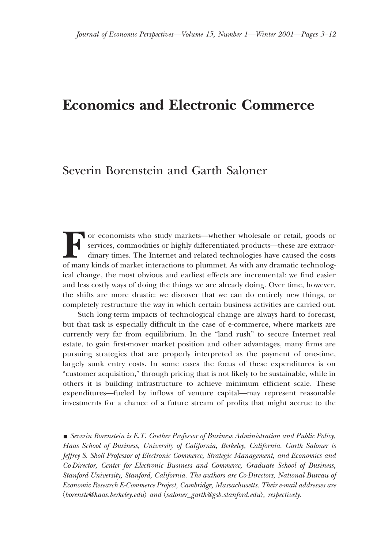# **Economics and Electronic Commerce**

## Severin Borenstein and Garth Saloner

For economists who study markets—whether wholesale or retail, goods or services, commodities or highly differentiated products—these are extraordinary times. The Internet and related technologies have caused the costs of m services, commodities or highly differentiated products—these are extraordinary times. The Internet and related technologies have caused the costs of many kinds of market interactions to plummet. As with any dramatic technological change, the most obvious and earliest effects are incremental: we find easier and less costly ways of doing the things we are already doing. Over time, however, the shifts are more drastic: we discover that we can do entirely new things, or completely restructure the way in which certain business activities are carried out.

Such long-term impacts of technological change are always hard to forecast, but that task is especially difficult in the case of e-commerce, where markets are currently very far from equilibrium. In the "land rush" to secure Internet real estate, to gain first-mover market position and other advantages, many firms are pursuing strategies that are properly interpreted as the payment of one-time, largely sunk entry costs. In some cases the focus of these expenditures is on "customer acquisition," through pricing that is not likely to be sustainable, while in others it is building infrastructure to achieve minimum efficient scale. These expenditures—fueled by inflows of venture capital—may represent reasonable investments for a chance of a future stream of profits that might accrue to the

■ *Severin Borenstein is E.T. Grether Professor of Business Administration and Public Policy, Haas School of Business, University of California, Berkeley, California. Garth Saloner is Jeffrey S. Skoll Professor of Electronic Commerce, Strategic Management, and Economics and Co-Director, Center for Electronic Business and Commerce, Graduate School of Business, Stanford University, Stanford, California. The authors are Co-Directors, National Bureau of Economic Research E-Commerce Project, Cambridge, Massachusetts. Their e-mail addresses are* ^*borenste@haas.berkeley.edu*& *and* ^*saloner\_garth@gsb.stanford.edu*&*, respectively.*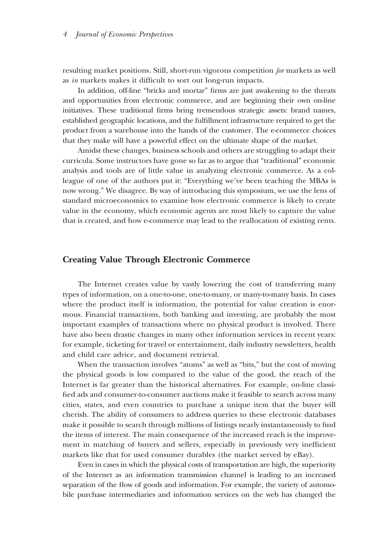resulting market positions. Still, short-run vigorous competition *for* markets as well as *in* markets makes it difficult to sort out long-run impacts.

In addition, off-line "bricks and mortar" firms are just awakening to the threats and opportunities from electronic commerce, and are beginning their own on-line initiatives. These traditional firms bring tremendous strategic assets: brand names, established geographic locations, and the fulfillment infrastructure required to get the product from a warehouse into the hands of the customer. The e-commerce choices that they make will have a powerful effect on the ultimate shape of the market.

Amidst these changes, business schools and others are struggling to adapt their curricula. Some instructors have gone so far as to argue that "traditional" economic analysis and tools are of little value in analyzing electronic commerce. As a colleague of one of the authors put it: "Everything we've been teaching the MBAs is now wrong." We disagree. By way of introducing this symposium, we use the lens of standard microeconomics to examine how electronic commerce is likely to create value in the economy, which economic agents are most likely to capture the value that is created, and how e-commerce may lead to the reallocation of existing rents.

#### **Creating Value Through Electronic Commerce**

The Internet creates value by vastly lowering the cost of transferring many types of information, on a one-to-one, one-to-many, or many-to-many basis. In cases where the product itself is information, the potential for value creation is enormous. Financial transactions, both banking and investing, are probably the most important examples of transactions where no physical product is involved. There have also been drastic changes in many other information services in recent years: for example, ticketing for travel or entertainment, daily industry newsletters, health and child care advice, and document retrieval.

When the transaction involves "atoms" as well as "bits," but the cost of moving the physical goods is low compared to the value of the good, the reach of the Internet is far greater than the historical alternatives. For example, on-line classified ads and consumer-to-consumer auctions make it feasible to search across many cities, states, and even countries to purchase a unique item that the buyer will cherish. The ability of consumers to address queries to these electronic databases make it possible to search through millions of listings nearly instantaneously to find the items of interest. The main consequence of the increased reach is the improvement in matching of buyers and sellers, especially in previously very inefficient markets like that for used consumer durables (the market served by eBay).

Even in cases in which the physical costs of transportation are high, the superiority of the Internet as an information transmission channel is leading to an increased separation of the flow of goods and information. For example, the variety of automobile purchase intermediaries and information services on the web has changed the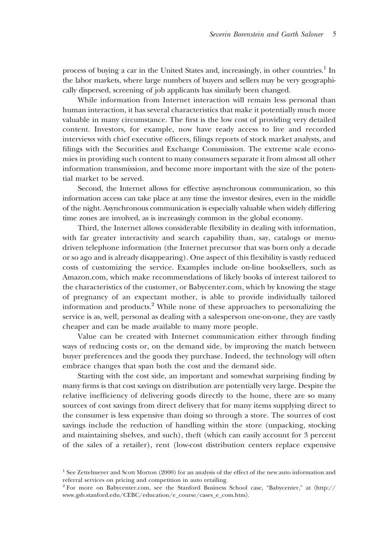process of buying a car in the United States and, increasingly, in other countries.<sup>1</sup> In the labor markets, where large numbers of buyers and sellers may be very geographically dispersed, screening of job applicants has similarly been changed.

While information from Internet interaction will remain less personal than human interaction, it has several characteristics that make it potentially much more valuable in many circumstance. The first is the low cost of providing very detailed content. Investors, for example, now have ready access to live and recorded interviews with chief executive officers, filings reports of stock market analysts, and filings with the Securities and Exchange Commission. The extreme scale economies in providing such content to many consumers separate it from almost all other information transmission, and become more important with the size of the potential market to be served.

Second, the Internet allows for effective asynchronous communication, so this information access can take place at any time the investor desires, even in the middle of the night. Asynchronous communication is especially valuable when widely differing time zones are involved, as is increasingly common in the global economy.

Third, the Internet allows considerable flexibility in dealing with information, with far greater interactivity and search capability than, say, catalogs or menudriven telephone information (the Internet precursor that was born only a decade or so ago and is already disappearing). One aspect of this flexibility is vastly reduced costs of customizing the service. Examples include on-line booksellers, such as Amazon.com, which make recommendations of likely books of interest tailored to the characteristics of the customer, or Babycenter.com, which by knowing the stage of pregnancy of an expectant mother, is able to provide individually tailored information and products.<sup>2</sup> While none of these approaches to personalizing the service is as, well, personal as dealing with a salesperson one-on-one, they are vastly cheaper and can be made available to many more people.

Value can be created with Internet communication either through finding ways of reducing costs or, on the demand side, by improving the match between buyer preferences and the goods they purchase. Indeed, the technology will often embrace changes that span both the cost and the demand side.

Starting with the cost side, an important and somewhat surprising finding by many firms is that cost savings on distribution are potentially very large. Despite the relative inefficiency of delivering goods directly to the home, there are so many sources of cost savings from direct delivery that for many items supplying direct to the consumer is less expensive than doing so through a store. The sources of cost savings include the reduction of handling within the store (unpacking, stocking and maintaining shelves, and such), theft (which can easily account for 3 percent of the sales of a retailer), rent (low-cost distribution centers replace expensive

<sup>&</sup>lt;sup>1</sup> See Zettelmeyer and Scott Morton (2000) for an analysis of the effect of the new auto information and referral services on pricing and competition in auto retailing.

 $2^2$  For more on Babycenter.com, see the Stanford Business School case, "Babycenter," at  $\langle$ http:// www.gsb.stanford.edu/CEBC/education/e\_course/cases\_e\_com.htm&.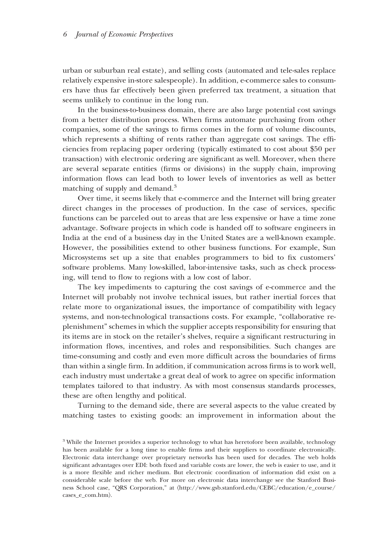urban or suburban real estate), and selling costs (automated and tele-sales replace relatively expensive in-store salespeople). In addition, e-commerce sales to consumers have thus far effectively been given preferred tax treatment, a situation that seems unlikely to continue in the long run.

In the business-to-business domain, there are also large potential cost savings from a better distribution process. When firms automate purchasing from other companies, some of the savings to firms comes in the form of volume discounts, which represents a shifting of rents rather than aggregate cost savings. The efficiencies from replacing paper ordering (typically estimated to cost about \$50 per transaction) with electronic ordering are significant as well. Moreover, when there are several separate entities (firms or divisions) in the supply chain, improving information flows can lead both to lower levels of inventories as well as better matching of supply and demand.<sup>3</sup>

Over time, it seems likely that e-commerce and the Internet will bring greater direct changes in the processes of production. In the case of services, specific functions can be parceled out to areas that are less expensive or have a time zone advantage. Software projects in which code is handed off to software engineers in India at the end of a business day in the United States are a well-known example. However, the possibilities extend to other business functions. For example, Sun Microsystems set up a site that enables programmers to bid to fix customers' software problems. Many low-skilled, labor-intensive tasks, such as check processing, will tend to flow to regions with a low cost of labor.

The key impediments to capturing the cost savings of e-commerce and the Internet will probably not involve technical issues, but rather inertial forces that relate more to organizational issues, the importance of compatibility with legacy systems, and non-technological transactions costs. For example, "collaborative replenishment" schemes in which the supplier accepts responsibility for ensuring that its items are in stock on the retailer's shelves, require a significant restructuring in information flows, incentives, and roles and responsibilities. Such changes are time-consuming and costly and even more difficult across the boundaries of firms than within a single firm. In addition, if communication across firms is to work well, each industry must undertake a great deal of work to agree on specific information templates tailored to that industry. As with most consensus standards processes, these are often lengthy and political.

Turning to the demand side, there are several aspects to the value created by matching tastes to existing goods: an improvement in information about the

 $3$  While the Internet provides a superior technology to what has heretofore been available, technology has been available for a long time to enable firms and their suppliers to coordinate electronically. Electronic data interchange over proprietary networks has been used for decades. The web holds significant advantages over EDI: both fixed and variable costs are lower, the web is easier to use, and it is a more flexible and richer medium. But electronic coordination of information did exist on a considerable scale before the web. For more on electronic data interchange see the Stanford Business School case, "QRS Corporation," at ^http://www.gsb.stanford.edu/CEBC/education/e\_course/ cases\_e\_com.htm).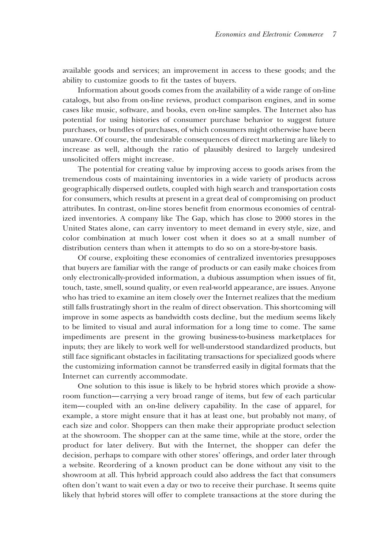available goods and services; an improvement in access to these goods; and the ability to customize goods to fit the tastes of buyers.

Information about goods comes from the availability of a wide range of on-line catalogs, but also from on-line reviews, product comparison engines, and in some cases like music, software, and books, even on-line samples. The Internet also has potential for using histories of consumer purchase behavior to suggest future purchases, or bundles of purchases, of which consumers might otherwise have been unaware. Of course, the undesirable consequences of direct marketing are likely to increase as well, although the ratio of plausibly desired to largely undesired unsolicited offers might increase.

The potential for creating value by improving access to goods arises from the tremendous costs of maintaining inventories in a wide variety of products across geographically dispersed outlets, coupled with high search and transportation costs for consumers, which results at present in a great deal of compromising on product attributes. In contrast, on-line stores benefit from enormous economies of centralized inventories. A company like The Gap, which has close to 2000 stores in the United States alone, can carry inventory to meet demand in every style, size, and color combination at much lower cost when it does so at a small number of distribution centers than when it attempts to do so on a store-by-store basis.

Of course, exploiting these economies of centralized inventories presupposes that buyers are familiar with the range of products or can easily make choices from only electronically-provided information, a dubious assumption when issues of fit, touch, taste, smell, sound quality, or even real-world appearance, are issues. Anyone who has tried to examine an item closely over the Internet realizes that the medium still falls frustratingly short in the realm of direct observation. This shortcoming will improve in some aspects as bandwidth costs decline, but the medium seems likely to be limited to visual and aural information for a long time to come. The same impediments are present in the growing business-to-business marketplaces for inputs; they are likely to work well for well-understood standardized products, but still face significant obstacles in facilitating transactions for specialized goods where the customizing information cannot be transferred easily in digital formats that the Internet can currently accommodate.

One solution to this issue is likely to be hybrid stores which provide a showroom function—carrying a very broad range of items, but few of each particular item—coupled with an on-line delivery capability. In the case of apparel, for example, a store might ensure that it has at least one, but probably not many, of each size and color. Shoppers can then make their appropriate product selection at the showroom. The shopper can at the same time, while at the store, order the product for later delivery. But with the Internet, the shopper can defer the decision, perhaps to compare with other stores' offerings, and order later through a website. Reordering of a known product can be done without any visit to the showroom at all. This hybrid approach could also address the fact that consumers often don't want to wait even a day or two to receive their purchase. It seems quite likely that hybrid stores will offer to complete transactions at the store during the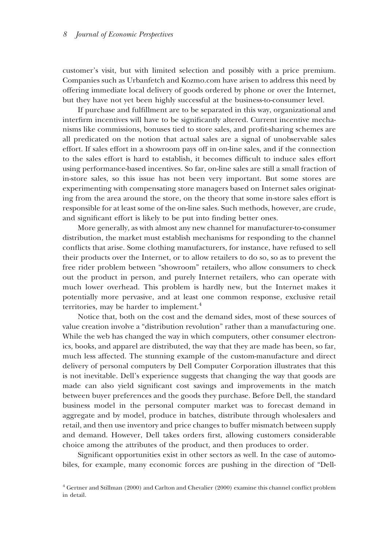customer's visit, but with limited selection and possibly with a price premium. Companies such as Urbanfetch and Kozmo.com have arisen to address this need by offering immediate local delivery of goods ordered by phone or over the Internet, but they have not yet been highly successful at the business-to-consumer level.

If purchase and fulfillment are to be separated in this way, organizational and interfirm incentives will have to be significantly altered. Current incentive mechanisms like commissions, bonuses tied to store sales, and profit-sharing schemes are all predicated on the notion that actual sales are a signal of unobservable sales effort. If sales effort in a showroom pays off in on-line sales, and if the connection to the sales effort is hard to establish, it becomes difficult to induce sales effort using performance-based incentives. So far, on-line sales are still a small fraction of in-store sales, so this issue has not been very important. But some stores are experimenting with compensating store managers based on Internet sales originating from the area around the store, on the theory that some in-store sales effort is responsible for at least some of the on-line sales. Such methods, however, are crude, and significant effort is likely to be put into finding better ones.

More generally, as with almost any new channel for manufacturer-to-consumer distribution, the market must establish mechanisms for responding to the channel conflicts that arise. Some clothing manufacturers, for instance, have refused to sell their products over the Internet, or to allow retailers to do so, so as to prevent the free rider problem between "showroom" retailers, who allow consumers to check out the product in person, and purely Internet retailers, who can operate with much lower overhead. This problem is hardly new, but the Internet makes it potentially more pervasive, and at least one common response, exclusive retail territories, may be harder to implement.<sup>4</sup>

Notice that, both on the cost and the demand sides, most of these sources of value creation involve a "distribution revolution" rather than a manufacturing one. While the web has changed the way in which computers, other consumer electronics, books, and apparel are distributed, the way that they are made has been, so far, much less affected. The stunning example of the custom-manufacture and direct delivery of personal computers by Dell Computer Corporation illustrates that this is not inevitable. Dell's experience suggests that changing the way that goods are made can also yield significant cost savings and improvements in the match between buyer preferences and the goods they purchase. Before Dell, the standard business model in the personal computer market was to forecast demand in aggregate and by model, produce in batches, distribute through wholesalers and retail, and then use inventory and price changes to buffer mismatch between supply and demand. However, Dell takes orders first, allowing customers considerable choice among the attributes of the product, and then produces to order.

Significant opportunities exist in other sectors as well. In the case of automobiles, for example, many economic forces are pushing in the direction of "Dell-

<sup>4</sup> Gertner and Stillman (2000) and Carlton and Chevalier (2000) examine this channel conflict problem in detail.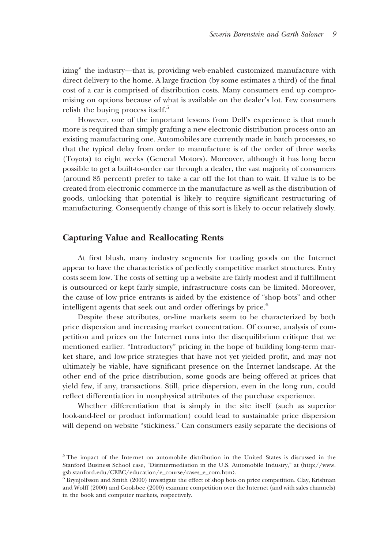izing" the industry—that is, providing web-enabled customized manufacture with direct delivery to the home. A large fraction (by some estimates a third) of the final cost of a car is comprised of distribution costs. Many consumers end up compromising on options because of what is available on the dealer's lot. Few consumers relish the buying process itself.<sup>5</sup>

However, one of the important lessons from Dell's experience is that much more is required than simply grafting a new electronic distribution process onto an existing manufacturing one. Automobiles are currently made in batch processes, so that the typical delay from order to manufacture is of the order of three weeks (Toyota) to eight weeks (General Motors). Moreover, although it has long been possible to get a built-to-order car through a dealer, the vast majority of consumers (around 85 percent) prefer to take a car off the lot than to wait. If value is to be created from electronic commerce in the manufacture as well as the distribution of goods, unlocking that potential is likely to require significant restructuring of manufacturing. Consequently change of this sort is likely to occur relatively slowly.

### **Capturing Value and Reallocating Rents**

At first blush, many industry segments for trading goods on the Internet appear to have the characteristics of perfectly competitive market structures. Entry costs seem low. The costs of setting up a website are fairly modest and if fulfillment is outsourced or kept fairly simple, infrastructure costs can be limited. Moreover, the cause of low price entrants is aided by the existence of "shop bots" and other intelligent agents that seek out and order offerings by price.<sup>6</sup>

Despite these attributes, on-line markets seem to be characterized by both price dispersion and increasing market concentration. Of course, analysis of competition and prices on the Internet runs into the disequilibrium critique that we mentioned earlier. "Introductory" pricing in the hope of building long-term market share, and low-price strategies that have not yet yielded profit, and may not ultimately be viable, have significant presence on the Internet landscape. At the other end of the price distribution, some goods are being offered at prices that yield few, if any, transactions. Still, price dispersion, even in the long run, could reflect differentiation in nonphysical attributes of the purchase experience.

Whether differentiation that is simply in the site itself (such as superior look-and-feel or product information) could lead to sustainable price dispersion will depend on website "stickiness." Can consumers easily separate the decisions of

<sup>&</sup>lt;sup>5</sup>The impact of the Internet on automobile distribution in the United States is discussed in the Stanford Business School case, "Disintermediation in the U.S. Automobile Industry," at ^http://www. gsb.stanford.edu/CEBC/education/e\_course/cases\_e\_com.htm&.

<sup>6</sup> Brynjolfsson and Smith (2000) investigate the effect of shop bots on price competition. Clay, Krishnan and Wolff (2000) and Goolsbee (2000) examine competition over the Internet (and with sales channels) in the book and computer markets, respectively.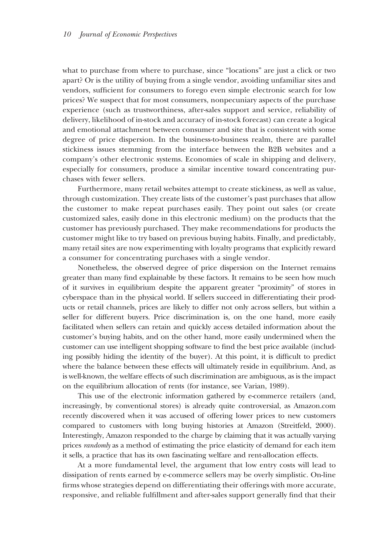what to purchase from where to purchase, since "locations" are just a click or two apart? Or is the utility of buying from a single vendor, avoiding unfamiliar sites and vendors, sufficient for consumers to forego even simple electronic search for low prices? We suspect that for most consumers, nonpecuniary aspects of the purchase experience (such as trustworthiness, after-sales support and service, reliability of delivery, likelihood of in-stock and accuracy of in-stock forecast) can create a logical and emotional attachment between consumer and site that is consistent with some degree of price dispersion. In the business-to-business realm, there are parallel stickiness issues stemming from the interface between the B2B websites and a company's other electronic systems. Economies of scale in shipping and delivery, especially for consumers, produce a similar incentive toward concentrating purchases with fewer sellers.

Furthermore, many retail websites attempt to create stickiness, as well as value, through customization. They create lists of the customer's past purchases that allow the customer to make repeat purchases easily. They point out sales (or create customized sales, easily done in this electronic medium) on the products that the customer has previously purchased. They make recommendations for products the customer might like to try based on previous buying habits. Finally, and predictably, many retail sites are now experimenting with loyalty programs that explicitly reward a consumer for concentrating purchases with a single vendor.

Nonetheless, the observed degree of price dispersion on the Internet remains greater than many find explainable by these factors. It remains to be seen how much of it survives in equilibrium despite the apparent greater "proximity" of stores in cyberspace than in the physical world. If sellers succeed in differentiating their products or retail channels, prices are likely to differ not only across sellers, but within a seller for different buyers. Price discrimination is, on the one hand, more easily facilitated when sellers can retain and quickly access detailed information about the customer's buying habits, and on the other hand, more easily undermined when the customer can use intelligent shopping software to find the best price available (including possibly hiding the identity of the buyer). At this point, it is difficult to predict where the balance between these effects will ultimately reside in equilibrium. And, as is well-known, the welfare effects of such discrimination are ambiguous, as is the impact on the equilibrium allocation of rents (for instance, see Varian, 1989).

This use of the electronic information gathered by e-commerce retailers (and, increasingly, by conventional stores) is already quite controversial, as Amazon.com recently discovered when it was accused of offering lower prices to new customers compared to customers with long buying histories at Amazon (Streitfeld, 2000). Interestingly, Amazon responded to the charge by claiming that it was actually varying prices *randomly* as a method of estimating the price elasticity of demand for each item it sells, a practice that has its own fascinating welfare and rent-allocation effects.

At a more fundamental level, the argument that low entry costs will lead to dissipation of rents earned by e-commerce sellers may be overly simplistic. On-line firms whose strategies depend on differentiating their offerings with more accurate, responsive, and reliable fulfillment and after-sales support generally find that their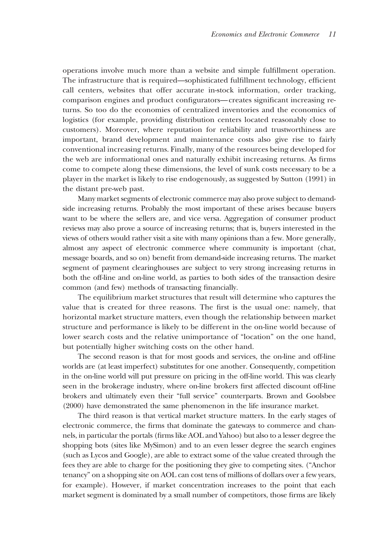operations involve much more than a website and simple fulfillment operation. The infrastructure that is required—sophisticated fulfillment technology, efficient call centers, websites that offer accurate in-stock information, order tracking, comparison engines and product configurators—creates significant increasing returns. So too do the economies of centralized inventories and the economics of logistics (for example, providing distribution centers located reasonably close to customers). Moreover, where reputation for reliability and trustworthiness are important, brand development and maintenance costs also give rise to fairly conventional increasing returns. Finally, many of the resources being developed for the web are informational ones and naturally exhibit increasing returns. As firms come to compete along these dimensions, the level of sunk costs necessary to be a player in the market is likely to rise endogenously, as suggested by Sutton (1991) in the distant pre-web past.

Many market segments of electronic commerce may also prove subject to demandside increasing returns. Probably the most important of these arises because buyers want to be where the sellers are, and vice versa. Aggregation of consumer product reviews may also prove a source of increasing returns; that is, buyers interested in the views of others would rather visit a site with many opinions than a few. More generally, almost any aspect of electronic commerce where community is important (chat, message boards, and so on) benefit from demand-side increasing returns. The market segment of payment clearinghouses are subject to very strong increasing returns in both the off-line and on-line world, as parties to both sides of the transaction desire common (and few) methods of transacting financially.

The equilibrium market structures that result will determine who captures the value that is created for three reasons. The first is the usual one: namely, that horizontal market structure matters, even though the relationship between market structure and performance is likely to be different in the on-line world because of lower search costs and the relative unimportance of "location" on the one hand, but potentially higher switching costs on the other hand.

The second reason is that for most goods and services, the on-line and off-line worlds are (at least imperfect) substitutes for one another. Consequently, competition in the on-line world will put pressure on pricing in the off-line world. This was clearly seen in the brokerage industry, where on-line brokers first affected discount off-line brokers and ultimately even their "full service" counterparts. Brown and Goolsbee (2000) have demonstrated the same phenomenon in the life insurance market.

The third reason is that vertical market structure matters. In the early stages of electronic commerce, the firms that dominate the gateways to commerce and channels, in particular the portals (firms like AOL and Yahoo) but also to a lesser degree the shopping bots (sites like MySimon) and to an even lesser degree the search engines (such as Lycos and Google), are able to extract some of the value created through the fees they are able to charge for the positioning they give to competing sites. ("Anchor tenancy" on a shopping site on AOL can cost tens of millions of dollars over a few years, for example). However, if market concentration increases to the point that each market segment is dominated by a small number of competitors, those firms are likely